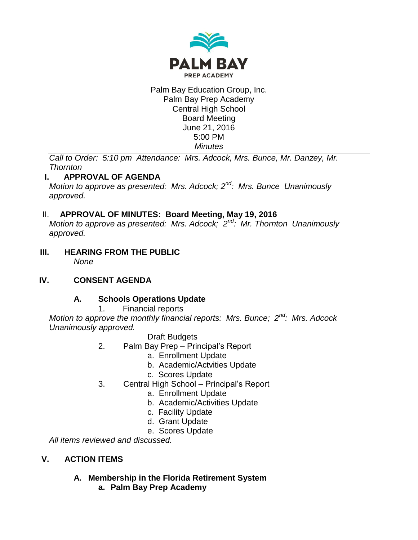

Palm Bay Education Group, Inc. Palm Bay Prep Academy Central High School Board Meeting June 21, 2016 5:00 PM *Minutes*

*Call to Order: 5:10 pm Attendance: Mrs. Adcock, Mrs. Bunce, Mr. Danzey, Mr. Thornton*

# **I. APPROVAL OF AGENDA**

*Motion to approve as presented: Mrs. Adcock; 2nd: Mrs. Bunce Unanimously approved.*

# II. **APPROVAL OF MINUTES: Board Meeting, May 19, 2016**

*Motion to approve as presented: Mrs. Adcock; 2nd: Mr. Thornton Unanimously approved.*

**III. HEARING FROM THE PUBLIC** *None*

# **IV. CONSENT AGENDA**

# **A. Schools Operations Update**

1. Financial reports

*Motion to approve the monthly financial reports: Mrs. Bunce; 2nd: Mrs. Adcock Unanimously approved.*

### Draft Budgets

- 2. Palm Bay Prep Principal's Report
	- a. Enrollment Update
	- b. Academic/Actvities Update
	- c. Scores Update
- 3. Central High School Principal's Report
	- a. Enrollment Update
	- b. Academic/Activities Update
	- c. Facility Update
	- d. Grant Update
	- e. Scores Update

*All items reviewed and discussed.*

# **V. ACTION ITEMS**

# **A. Membership in the Florida Retirement System**

**a. Palm Bay Prep Academy**